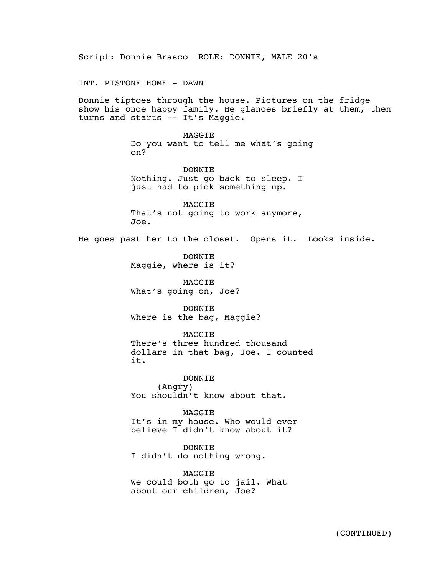Script: Donnie Brasco ROLE: DONNIE, MALE 20's INT. PISTONE HOME - DAWN Donnie tiptoes through the house. Pictures on the fridge show his once happy family. He glances briefly at them, then turns and starts -- It's Maggie. MAGGIE Do you want to tell me what's going on? DONNIE Nothing. Just go back to sleep. I just had to pick something up. MAGGIE That's not going to work anymore, Joe. He goes past her to the closet. Opens it. Looks inside. DONNIE Maggie, where is it? MAGGIE What's going on, Joe? DONNIE Where is the bag, Maggie? MAGGIE There's three hundred thousand dollars in that bag, Joe. I counted it. DONNIE (Angry) You shouldn't know about that. MAGGIE It's in my house. Who would ever believe I didn't know about it? DONNIE I didn't do nothing wrong. MAGGIE We could both go to jail. What about our children, Joe?  $\Delta_{\rm{G}}$  and  $\Delta_{\rm{G}}$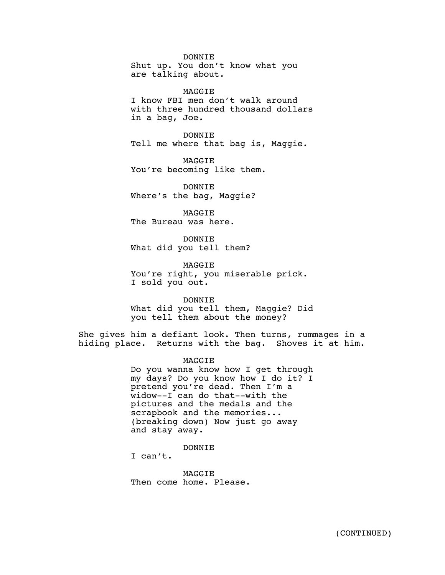DONNIE Shut up. You don't know what you are talking about.

MAGGIE I know FBI men don't walk around with three hundred thousand dollars in a bag, Joe.

DONNIE Tell me where that bag is, Maggie.

MAGGIE You're becoming like them.

DONNIE Where's the bag, Maggie?

MAGGIE The Bureau was here.

DONNIE What did you tell them?

**MAGGTE** You're right, you miserable prick. I sold you out.

DONNIE What did you tell them, Maggie? Did you tell them about the money?

She gives him a defiant look. Then turns, rummages in a hiding place. Returns with the bag. Shoves it at him.

MAGGIE

Do you wanna know how I get through my days? Do you know how I do it? I pretend you're dead. Then I'm a widow--I can do that--with the pictures and the medals and the scrapbook and the memories... (breaking down) Now just go away and stay away.

DONNIE

I can't.

**MAGGTE** Then come home. Please.